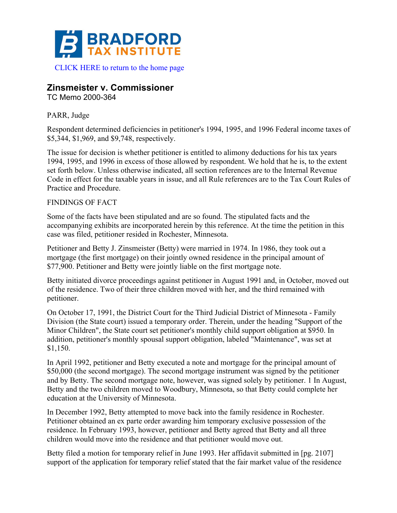

## **Zinsmeister v. Commissioner**

TC Memo 2000-364

## PARR, Judge

Respondent determined deficiencies in petitioner's 1994, 1995, and 1996 Federal income taxes of \$5,344, \$1,969, and \$9,748, respectively.

The issue for decision is whether petitioner is entitled to alimony deductions for his tax years 1994, 1995, and 1996 in excess of those allowed by respondent. We hold that he is, to the extent set forth below. Unless otherwise indicated, all section references are to the Internal Revenue Code in effect for the taxable years in issue, and all Rule references are to the Tax Court Rules of Practice and Procedure.

## FINDINGS OF FACT

Some of the facts have been stipulated and are so found. The stipulated facts and the accompanying exhibits are incorporated herein by this reference. At the time the petition in this case was filed, petitioner resided in Rochester, Minnesota.

Petitioner and Betty J. Zinsmeister (Betty) were married in 1974. In 1986, they took out a mortgage (the first mortgage) on their jointly owned residence in the principal amount of \$77,900. Petitioner and Betty were jointly liable on the first mortgage note.

Betty initiated divorce proceedings against petitioner in August 1991 and, in October, moved out of the residence. Two of their three children moved with her, and the third remained with petitioner.

On October 17, 1991, the District Court for the Third Judicial District of Minnesota - Family Division (the State court) issued a temporary order. Therein, under the heading "Support of the Minor Children", the State court set petitioner's monthly child support obligation at \$950. In addition, petitioner's monthly spousal support obligation, labeled "Maintenance", was set at \$1,150.

In April 1992, petitioner and Betty executed a note and mortgage for the principal amount of \$50,000 (the second mortgage). The second mortgage instrument was signed by the petitioner and by Betty. The second mortgage note, however, was signed solely by petitioner. 1 In August, Betty and the two children moved to Woodbury, Minnesota, so that Betty could complete her education at the University of Minnesota.

In December 1992, Betty attempted to move back into the family residence in Rochester. Petitioner obtained an ex parte order awarding him temporary exclusive possession of the residence. In February 1993, however, petitioner and Betty agreed that Betty and all three children would move into the residence and that petitioner would move out.

Betty filed a motion for temporary relief in June 1993. Her affidavit submitted in [pg. 2107] support of the application for temporary relief stated that the fair market value of the residence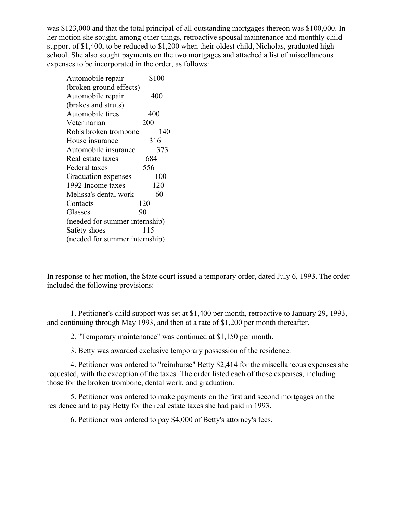was \$123,000 and that the total principal of all outstanding mortgages thereon was \$100,000. In her motion she sought, among other things, retroactive spousal maintenance and monthly child support of \$1,400, to be reduced to \$1,200 when their oldest child, Nicholas, graduated high school. She also sought payments on the two mortgages and attached a list of miscellaneous expenses to be incorporated in the order, as follows:

| Automobile repair              | \$100 |
|--------------------------------|-------|
| (broken ground effects)        |       |
| Automobile repair              | 400   |
| (brakes and struts)            |       |
| Automobile tires               | 400   |
| Veterinarian                   | 200   |
| Rob's broken trombone          | 140   |
| House insurance                | 316   |
| Automobile insurance           | 373   |
| Real estate taxes              | 684   |
| Federal taxes                  | 556   |
| Graduation expenses            | 100   |
| 1992 Income taxes              | 120   |
| Melissa's dental work          | 60    |
| Contacts                       | 120   |
| Glasses                        | 90    |
| (needed for summer internship) |       |
| Safety shoes                   | 115   |
| (needed for summer internship) |       |

In response to her motion, the State court issued a temporary order, dated July 6, 1993. The order included the following provisions:

1. Petitioner's child support was set at \$1,400 per month, retroactive to January 29, 1993, and continuing through May 1993, and then at a rate of \$1,200 per month thereafter.

2. "Temporary maintenance" was continued at \$1,150 per month.

3. Betty was awarded exclusive temporary possession of the residence.

4. Petitioner was ordered to "reimburse" Betty \$2,414 for the miscellaneous expenses she requested, with the exception of the taxes. The order listed each of those expenses, including those for the broken trombone, dental work, and graduation.

5. Petitioner was ordered to make payments on the first and second mortgages on the residence and to pay Betty for the real estate taxes she had paid in 1993.

6. Petitioner was ordered to pay \$4,000 of Betty's attorney's fees.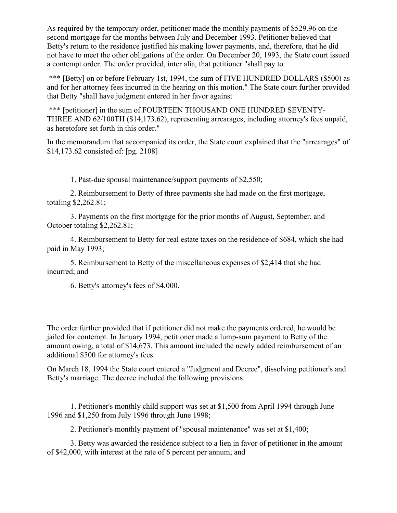As required by the temporary order, petitioner made the monthly payments of \$529.96 on the second mortgage for the months between July and December 1993. Petitioner believed that Betty's return to the residence justified his making lower payments, and, therefore, that he did not have to meet the other obligations of the order. On December 20, 1993, the State court issued a contempt order. The order provided, inter alia, that petitioner "shall pay to

\*\*\* [Betty] on or before February 1st, 1994, the sum of FIVE HUNDRED DOLLARS (\$500) as and for her attorney fees incurred in the hearing on this motion." The State court further provided that Betty "shall have judgment entered in her favor against

\*\*\* [petitioner] in the sum of FOURTEEN THOUSAND ONE HUNDRED SEVENTY-THREE AND 62/100TH (\$14,173.62), representing arrearages, including attorney's fees unpaid, as heretofore set forth in this order."

In the memorandum that accompanied its order, the State court explained that the "arrearages" of \$14,173.62 consisted of: [pg. 2108]

1. Past-due spousal maintenance/support payments of \$2,550;

2. Reimbursement to Betty of three payments she had made on the first mortgage, totaling \$2,262.81;

3. Payments on the first mortgage for the prior months of August, September, and October totaling \$2,262.81;

4. Reimbursement to Betty for real estate taxes on the residence of \$684, which she had paid in May 1993;

5. Reimbursement to Betty of the miscellaneous expenses of \$2,414 that she had incurred; and

6. Betty's attorney's fees of \$4,000.

The order further provided that if petitioner did not make the payments ordered, he would be jailed for contempt. In January 1994, petitioner made a lump-sum payment to Betty of the amount owing, a total of \$14,673. This amount included the newly added reimbursement of an additional \$500 for attorney's fees.

On March 18, 1994 the State court entered a "Judgment and Decree", dissolving petitioner's and Betty's marriage. The decree included the following provisions:

1. Petitioner's monthly child support was set at \$1,500 from April 1994 through June 1996 and \$1,250 from July 1996 through June 1998;

2. Petitioner's monthly payment of "spousal maintenance" was set at \$1,400;

3. Betty was awarded the residence subject to a lien in favor of petitioner in the amount of \$42,000, with interest at the rate of 6 percent per annum; and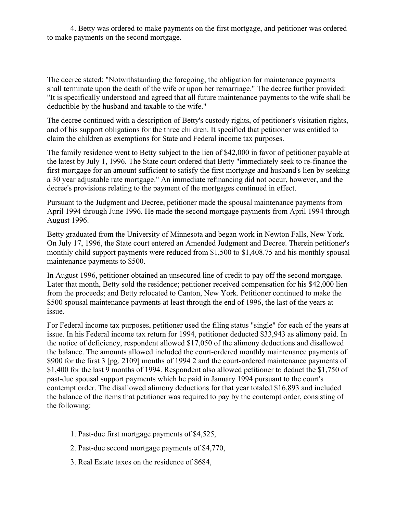4. Betty was ordered to make payments on the first mortgage, and petitioner was ordered to make payments on the second mortgage.

The decree stated: "Notwithstanding the foregoing, the obligation for maintenance payments shall terminate upon the death of the wife or upon her remarriage." The decree further provided: "It is specifically understood and agreed that all future maintenance payments to the wife shall be deductible by the husband and taxable to the wife."

The decree continued with a description of Betty's custody rights, of petitioner's visitation rights, and of his support obligations for the three children. It specified that petitioner was entitled to claim the children as exemptions for State and Federal income tax purposes.

The family residence went to Betty subject to the lien of \$42,000 in favor of petitioner payable at the latest by July 1, 1996. The State court ordered that Betty "immediately seek to re-finance the first mortgage for an amount sufficient to satisfy the first mortgage and husband's lien by seeking a 30 year adjustable rate mortgage." An immediate refinancing did not occur, however, and the decree's provisions relating to the payment of the mortgages continued in effect.

Pursuant to the Judgment and Decree, petitioner made the spousal maintenance payments from April 1994 through June 1996. He made the second mortgage payments from April 1994 through August 1996.

Betty graduated from the University of Minnesota and began work in Newton Falls, New York. On July 17, 1996, the State court entered an Amended Judgment and Decree. Therein petitioner's monthly child support payments were reduced from \$1,500 to \$1,408.75 and his monthly spousal maintenance payments to \$500.

In August 1996, petitioner obtained an unsecured line of credit to pay off the second mortgage. Later that month, Betty sold the residence; petitioner received compensation for his \$42,000 lien from the proceeds; and Betty relocated to Canton, New York. Petitioner continued to make the \$500 spousal maintenance payments at least through the end of 1996, the last of the years at issue.

For Federal income tax purposes, petitioner used the filing status "single" for each of the years at issue. In his Federal income tax return for 1994, petitioner deducted \$33,943 as alimony paid. In the notice of deficiency, respondent allowed \$17,050 of the alimony deductions and disallowed the balance. The amounts allowed included the court-ordered monthly maintenance payments of \$900 for the first 3 [pg. 2109] months of 1994 2 and the court-ordered maintenance payments of \$1,400 for the last 9 months of 1994. Respondent also allowed petitioner to deduct the \$1,750 of past-due spousal support payments which he paid in January 1994 pursuant to the court's contempt order. The disallowed alimony deductions for that year totaled \$16,893 and included the balance of the items that petitioner was required to pay by the contempt order, consisting of the following:

- 1. Past-due first mortgage payments of \$4,525,
- 2. Past-due second mortgage payments of \$4,770,
- 3. Real Estate taxes on the residence of \$684,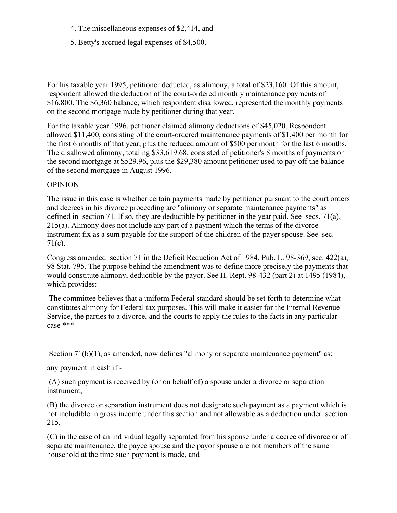- 4. The miscellaneous expenses of \$2,414, and
- 5. Betty's accrued legal expenses of \$4,500.

For his taxable year 1995, petitioner deducted, as alimony, a total of \$23,160. Of this amount, respondent allowed the deduction of the court-ordered monthly maintenance payments of \$16,800. The \$6,360 balance, which respondent disallowed, represented the monthly payments on the second mortgage made by petitioner during that year.

For the taxable year 1996, petitioner claimed alimony deductions of \$45,020. Respondent allowed \$11,400, consisting of the court-ordered maintenance payments of \$1,400 per month for the first 6 months of that year, plus the reduced amount of \$500 per month for the last 6 months. The disallowed alimony, totaling \$33,619.68, consisted of petitioner's 8 months of payments on the second mortgage at \$529.96, plus the \$29,380 amount petitioner used to pay off the balance of the second mortgage in August 1996.

## **OPINION**

The issue in this case is whether certain payments made by petitioner pursuant to the court orders and decrees in his divorce proceeding are "alimony or separate maintenance payments" as defined in section 71. If so, they are deductible by petitioner in the year paid. See secs. 71(a), 215(a). Alimony does not include any part of a payment which the terms of the divorce instrument fix as a sum payable for the support of the children of the payer spouse. See sec. 71(c).

Congress amended section 71 in the Deficit Reduction Act of 1984, Pub. L. 98-369, sec. 422(a), 98 Stat. 795. The purpose behind the amendment was to define more precisely the payments that would constitute alimony, deductible by the payor. See H. Rept. 98-432 (part 2) at 1495 (1984), which provides:

The committee believes that a uniform Federal standard should be set forth to determine what constitutes alimony for Federal tax purposes. This will make it easier for the Internal Revenue Service, the parties to a divorce, and the courts to apply the rules to the facts in any particular case \*\*\*

Section 71(b)(1), as amended, now defines "alimony or separate maintenance payment" as:

any payment in cash if -

(A) such payment is received by (or on behalf of) a spouse under a divorce or separation instrument,

(B) the divorce or separation instrument does not designate such payment as a payment which is not includible in gross income under this section and not allowable as a deduction under section 215,

(C) in the case of an individual legally separated from his spouse under a decree of divorce or of separate maintenance, the payee spouse and the payor spouse are not members of the same household at the time such payment is made, and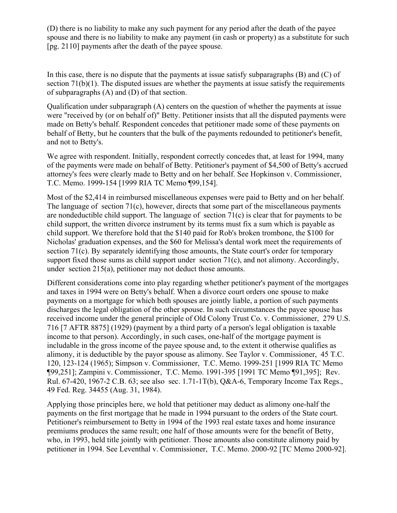(D) there is no liability to make any such payment for any period after the death of the payee spouse and there is no liability to make any payment (in cash or property) as a substitute for such [pg. 2110] payments after the death of the payee spouse.

In this case, there is no dispute that the payments at issue satisfy subparagraphs  $(B)$  and  $(C)$  of section  $71(b)(1)$ . The disputed issues are whether the payments at issue satisfy the requirements of subparagraphs (A) and (D) of that section.

Qualification under subparagraph (A) centers on the question of whether the payments at issue were "received by (or on behalf of)" Betty. Petitioner insists that all the disputed payments were made on Betty's behalf. Respondent concedes that petitioner made some of these payments on behalf of Betty, but he counters that the bulk of the payments redounded to petitioner's benefit, and not to Betty's.

We agree with respondent. Initially, respondent correctly concedes that, at least for 1994, many of the payments were made on behalf of Betty. Petitioner's payment of \$4,500 of Betty's accrued attorney's fees were clearly made to Betty and on her behalf. See Hopkinson v. Commissioner, T.C. Memo. 1999-154 [1999 RIA TC Memo ¶99,154].

Most of the \$2,414 in reimbursed miscellaneous expenses were paid to Betty and on her behalf. The language of section 71(c), however, directs that some part of the miscellaneous payments are nondeductible child support. The language of section 71(c) is clear that for payments to be child support, the written divorce instrument by its terms must fix a sum which is payable as child support. We therefore hold that the \$140 paid for Rob's broken trombone, the \$100 for Nicholas' graduation expenses, and the \$60 for Melissa's dental work meet the requirements of section 71(c). By separately identifying those amounts, the State court's order for temporary support fixed those sums as child support under section 71(c), and not alimony. Accordingly, under section 215(a), petitioner may not deduct those amounts.

Different considerations come into play regarding whether petitioner's payment of the mortgages and taxes in 1994 were on Betty's behalf. When a divorce court orders one spouse to make payments on a mortgage for which both spouses are jointly liable, a portion of such payments discharges the legal obligation of the other spouse. In such circumstances the payee spouse has received income under the general principle of Old Colony Trust Co. v. Commissioner, 279 U.S. 716 [7 AFTR 8875] (1929) (payment by a third party of a person's legal obligation is taxable income to that person). Accordingly, in such cases, one-half of the mortgage payment is includable in the gross income of the payee spouse and, to the extent it otherwise qualifies as alimony, it is deductible by the payor spouse as alimony. See Taylor v. Commissioner, 45 T.C. 120, 123-124 (1965); Simpson v. Commissioner, T.C. Memo. 1999-251 [1999 RIA TC Memo ¶99,251]; Zampini v. Commissioner, T.C. Memo. 1991-395 [1991 TC Memo ¶91,395]; Rev. Rul. 67-420, 1967-2 C.B. 63; see also sec. 1.71-1T(b), Q&A-6, Temporary Income Tax Regs., 49 Fed. Reg. 34455 (Aug. 31, 1984).

Applying those principles here, we hold that petitioner may deduct as alimony one-half the payments on the first mortgage that he made in 1994 pursuant to the orders of the State court. Petitioner's reimbursement to Betty in 1994 of the 1993 real estate taxes and home insurance premiums produces the same result; one half of those amounts were for the benefit of Betty, who, in 1993, held title jointly with petitioner. Those amounts also constitute alimony paid by petitioner in 1994. See Leventhal v. Commissioner, T.C. Memo. 2000-92 [TC Memo 2000-92].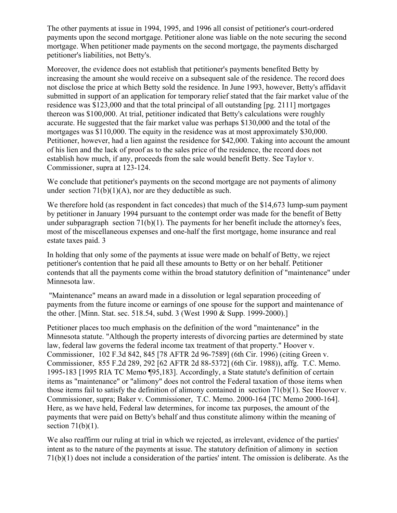The other payments at issue in 1994, 1995, and 1996 all consist of petitioner's court-ordered payments upon the second mortgage. Petitioner alone was liable on the note securing the second mortgage. When petitioner made payments on the second mortgage, the payments discharged petitioner's liabilities, not Betty's.

Moreover, the evidence does not establish that petitioner's payments benefited Betty by increasing the amount she would receive on a subsequent sale of the residence. The record does not disclose the price at which Betty sold the residence. In June 1993, however, Betty's affidavit submitted in support of an application for temporary relief stated that the fair market value of the residence was \$123,000 and that the total principal of all outstanding [pg. 2111] mortgages thereon was \$100,000. At trial, petitioner indicated that Betty's calculations were roughly accurate. He suggested that the fair market value was perhaps \$130,000 and the total of the mortgages was \$110,000. The equity in the residence was at most approximately \$30,000. Petitioner, however, had a lien against the residence for \$42,000. Taking into account the amount of his lien and the lack of proof as to the sales price of the residence, the record does not establish how much, if any, proceeds from the sale would benefit Betty. See Taylor v. Commissioner, supra at 123-124.

We conclude that petitioner's payments on the second mortgage are not payments of alimony under section  $71(b)(1)(A)$ , nor are they deductible as such.

We therefore hold (as respondent in fact concedes) that much of the \$14,673 lump-sum payment by petitioner in January 1994 pursuant to the contempt order was made for the benefit of Betty under subparagraph section  $71(b)(1)$ . The payments for her benefit include the attorney's fees, most of the miscellaneous expenses and one-half the first mortgage, home insurance and real estate taxes paid. 3

In holding that only some of the payments at issue were made on behalf of Betty, we reject petitioner's contention that he paid all these amounts to Betty or on her behalf. Petitioner contends that all the payments come within the broad statutory definition of "maintenance" under Minnesota law.

"Maintenance" means an award made in a dissolution or legal separation proceeding of payments from the future income or earnings of one spouse for the support and maintenance of the other. [Minn. Stat. sec. 518.54, subd. 3 (West 1990 & Supp. 1999-2000).]

Petitioner places too much emphasis on the definition of the word "maintenance" in the Minnesota statute. "Although the property interests of divorcing parties are determined by state law, federal law governs the federal income tax treatment of that property." Hoover v. Commissioner, 102 F.3d 842, 845 [78 AFTR 2d 96-7589] (6th Cir. 1996) (citing Green v. Commissioner, 855 F.2d 289, 292 [62 AFTR 2d 88-5372] (6th Cir. 1988)), affg. T.C. Memo. 1995-183 [1995 RIA TC Memo ¶95,183]. Accordingly, a State statute's definition of certain items as "maintenance" or "alimony" does not control the Federal taxation of those items when those items fail to satisfy the definition of alimony contained in section  $71(b)(1)$ . See Hoover v. Commissioner, supra; Baker v. Commissioner, T.C. Memo. 2000-164 [TC Memo 2000-164]. Here, as we have held, Federal law determines, for income tax purposes, the amount of the payments that were paid on Betty's behalf and thus constitute alimony within the meaning of section  $71(b)(1)$ .

We also reaffirm our ruling at trial in which we rejected, as irrelevant, evidence of the parties' intent as to the nature of the payments at issue. The statutory definition of alimony in section 71(b)(1) does not include a consideration of the parties' intent. The omission is deliberate. As the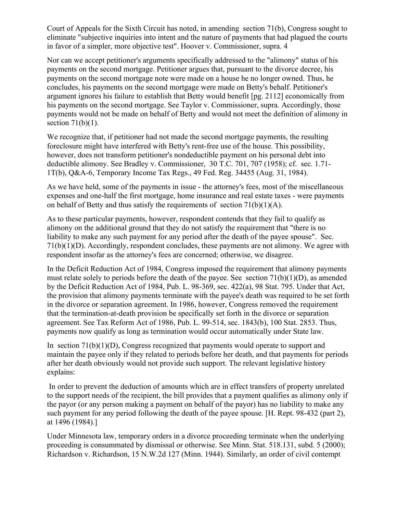Court of Appeals for the Sixth Circuit has noted, in amending section 71(b), Congress sought to eliminate "subjective inquiries into intent and the nature of payments that had plagued the courts in favor of a simpler, more objective test". Hoover v. Commissioner, supra. 4

Nor can we accept petitioner's arguments specifically addressed to the "alimony" status of his payments on the second mortgage. Petitioner argues that, pursuant to the divorce decree, his payments on the second mortgage note were made on a house he no longer owned. Thus, he concludes, his payments on the second mortgage were made on Betty's behalf. Petitioner's argument ignores his failure to establish that Betty would benefit [pg. 2112] economically from his payments on the second mortgage. See Taylor v. Commissioner, supra. Accordingly, those payments would not be made on behalf of Betty and would not meet the definition of alimony in section  $71(b)(1)$ .

We recognize that, if petitioner had not made the second mortgage payments, the resulting foreclosure might have interfered with Betty's rent-free use of the house. This possibility, however, does not transform petitioner's nondeductible payment on his personal debt into deductible alimony. See Bradley v. Commissioner, 30 T.C. 701, 707 (1958); cf. sec. 1.71- 1T(b), Q&A-6, Temporary Income Tax Regs., 49 Fed. Reg. 34455 (Aug. 31, 1984).

As we have held, some of the payments in issue - the attorney's fees, most of the miscellaneous expenses and one-half the first mortgage, home insurance and real estate taxes - were payments on behalf of Betty and thus satisfy the requirements of section 71(b)(1)(A).

As to these particular payments, however, respondent contends that they fail to qualify as alimony on the additional ground that they do not satisfy the requirement that "there is no liability to make any such payment for any period after the death of the payee spouse". Sec. 71(b)(1)(D). Accordingly, respondent concludes, these payments are not alimony. We agree with respondent insofar as the attorney's fees are concerned; otherwise, we disagree.

In the Deficit Reduction Act of 1984, Congress imposed the requirement that alimony payments must relate solely to periods before the death of the payee. See section  $71(b)(1)(D)$ , as amended by the Deficit Reduction Act of 1984, Pub. L. 98-369, sec. 422(a), 98 Stat. 795. Under that Act, the provision that alimony payments terminate with the payee's death was required to be set forth in the divorce or separation agreement. In 1986, however, Congress removed the requirement that the termination-at-death provision be specifically set forth in the divorce or separation agreement. See Tax Reform Act of 1986, Pub. L. 99-514, sec. 1843(b), 100 Stat. 2853. Thus, payments now qualify as long as termination would occur automatically under State law.

In section  $71(b)(1)(D)$ , Congress recognized that payments would operate to support and maintain the payee only if they related to periods before her death, and that payments for periods after her death obviously would not provide such support. The relevant legislative history explains:

In order to prevent the deduction of amounts which are in effect transfers of property unrelated to the support needs of the recipient, the bill provides that a payment qualifies as alimony only if the payor (or any person making a payment on behalf of the payor) has no liability to make any such payment for any period following the death of the payee spouse. [H. Rept. 98-432 (part 2), at 1496 (1984).]

Under Minnesota law, temporary orders in a divorce proceeding terminate when the underlying proceeding is consummated by dismissal or otherwise. See Minn. Stat. 518.131, subd. 5 (2000); Richardson v. Richardson, 15 N.W.2d 127 (Minn. 1944). Similarly, an order of civil contempt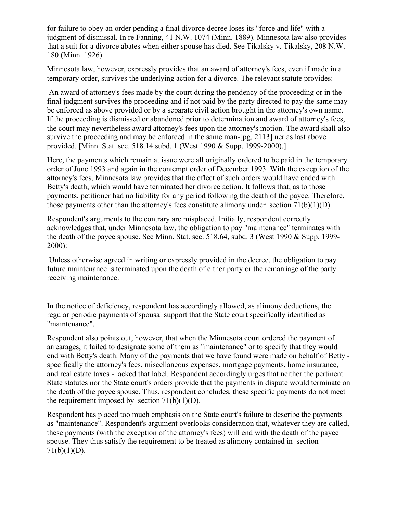for failure to obey an order pending a final divorce decree loses its "force and life" with a judgment of dismissal. In re Fanning, 41 N.W. 1074 (Minn. 1889). Minnesota law also provides that a suit for a divorce abates when either spouse has died. See Tikalsky v. Tikalsky, 208 N.W. 180 (Minn. 1926).

Minnesota law, however, expressly provides that an award of attorney's fees, even if made in a temporary order, survives the underlying action for a divorce. The relevant statute provides:

An award of attorney's fees made by the court during the pendency of the proceeding or in the final judgment survives the proceeding and if not paid by the party directed to pay the same may be enforced as above provided or by a separate civil action brought in the attorney's own name. If the proceeding is dismissed or abandoned prior to determination and award of attorney's fees, the court may nevertheless award attorney's fees upon the attorney's motion. The award shall also survive the proceeding and may be enforced in the same man-[pg. 2113] ner as last above provided. [Minn. Stat. sec. 518.14 subd. 1 (West 1990 & Supp. 1999-2000).]

Here, the payments which remain at issue were all originally ordered to be paid in the temporary order of June 1993 and again in the contempt order of December 1993. With the exception of the attorney's fees, Minnesota law provides that the effect of such orders would have ended with Betty's death, which would have terminated her divorce action. It follows that, as to those payments, petitioner had no liability for any period following the death of the payee. Therefore, those payments other than the attorney's fees constitute alimony under section  $71(b)(1)(D)$ .

Respondent's arguments to the contrary are misplaced. Initially, respondent correctly acknowledges that, under Minnesota law, the obligation to pay "maintenance" terminates with the death of the payee spouse. See Minn. Stat. sec. 518.64, subd. 3 (West 1990 & Supp. 1999- 2000):

Unless otherwise agreed in writing or expressly provided in the decree, the obligation to pay future maintenance is terminated upon the death of either party or the remarriage of the party receiving maintenance.

In the notice of deficiency, respondent has accordingly allowed, as alimony deductions, the regular periodic payments of spousal support that the State court specifically identified as "maintenance".

Respondent also points out, however, that when the Minnesota court ordered the payment of arrearages, it failed to designate some of them as "maintenance" or to specify that they would end with Betty's death. Many of the payments that we have found were made on behalf of Betty specifically the attorney's fees, miscellaneous expenses, mortgage payments, home insurance, and real estate taxes - lacked that label. Respondent accordingly urges that neither the pertinent State statutes nor the State court's orders provide that the payments in dispute would terminate on the death of the payee spouse. Thus, respondent concludes, these specific payments do not meet the requirement imposed by section  $71(b)(1)(D)$ .

Respondent has placed too much emphasis on the State court's failure to describe the payments as "maintenance". Respondent's argument overlooks consideration that, whatever they are called, these payments (with the exception of the attorney's fees) will end with the death of the payee spouse. They thus satisfy the requirement to be treated as alimony contained in section  $71(b)(1)(D)$ .